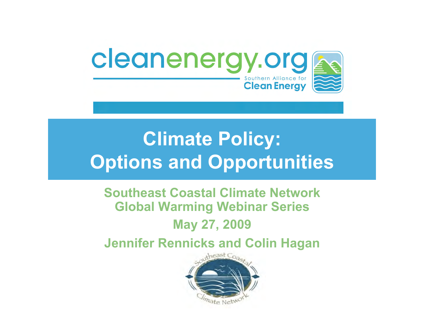

#### **Climate Policy: Options and Opportunities**

#### **Southeast Coastal Climate Network Global Warming Webinar Series**

#### **May 27, 2009**

**Jennifer Rennicks and Colin Hagan** 

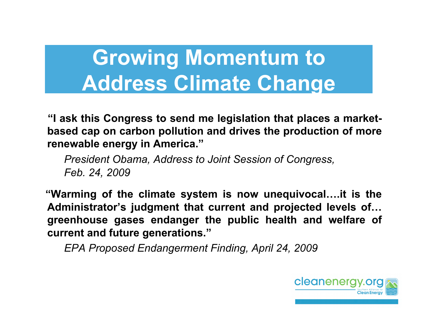#### **Growing Momentum to Address Climate Change**

**"I ask this Congress to send me legislation that places a marketbased cap on carbon pollution and drives the production of more renewable energy in America."** 

*President Obama, Address to Joint Session of Congress, Feb. 24, 2009*

 **"Warming of the climate system is now unequivocal….it is the Administrator's judgment that current and projected levels of… greenhouse gases endanger the public health and welfare of current and future generations."** 

*EPA Proposed Endangerment Finding, April 24, 2009*

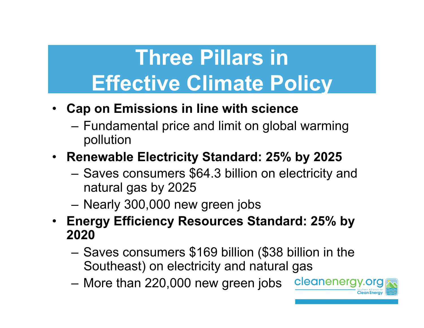## **Three Pillars in Effective Climate Policy**

- **Cap on Emissions in line with science** 
	- Fundamental price and limit on global warming pollution
- **Renewable Electricity Standard: 25% by 2025** 
	- Saves consumers \$64.3 billion on electricity and natural gas by 2025
	- Nearly 300,000 new green jobs
- **Energy Efficiency Resources Standard: 25% by 2020** 
	- Saves consumers \$169 billion (\$38 billion in the Southeast) on electricity and natural gas

cleanenergy.org

– More than 220,000 new green jobs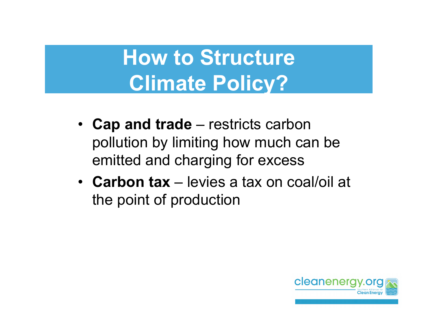## **How to Structure Climate Policy?**

- **Cap and trade**  restricts carbon pollution by limiting how much can be emitted and charging for excess
- **Carbon tax**  levies a tax on coal/oil at the point of production

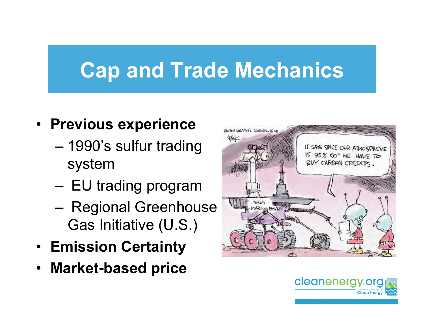## **Cap and Trade Mechanics**

#### • **Previous experience**

- 1990's sulfur trading system
- EU trading program
- Regional Greenhouse Gas Initiative (U.S.)
- **Emission Certainty**
- **Market-based price**



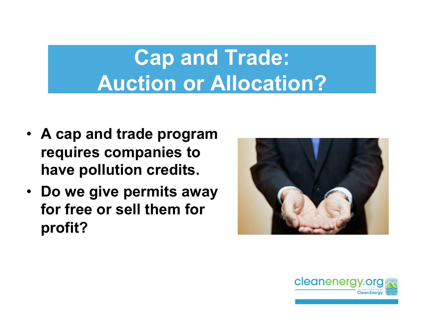## **Cap and Trade: Auction or Allocation?**

- **A cap and trade program requires companies to have pollution credits.**
- **Do we give permits away for free or sell them for profit?**



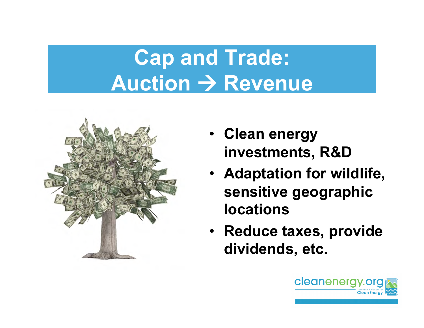# **Cap and Trade: Auction → Revenue**



- **Clean energy investments, R&D**
- **Adaptation for wildlife, sensitive geographic locations**
- **Reduce taxes, provide dividends, etc.**

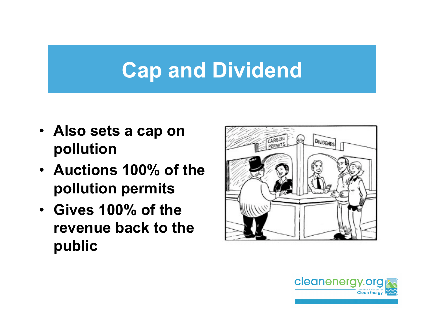## **Cap and Dividend**

- **Also sets a cap on pollution**
- **Auctions 100% of the pollution permits**
- **Gives 100% of the revenue back to the public**



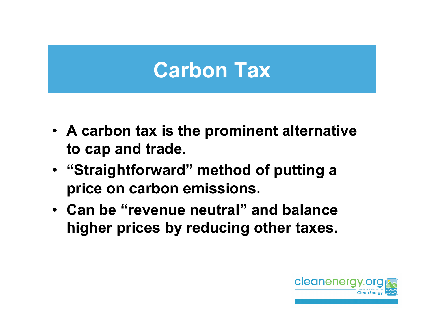#### **Carbon Tax**

- **A carbon tax is the prominent alternative to cap and trade.**
- **"Straightforward" method of putting a price on carbon emissions.**
- **Can be "revenue neutral" and balance higher prices by reducing other taxes.**

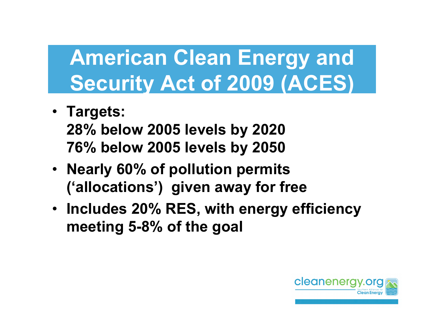#### **American Clean Energy and Security Act of 2009 (ACES)**

- **Targets: 28% below 2005 levels by 2020 76% below 2005 levels by 2050**
- **Nearly 60% of pollution permits ('allocations') given away for free**
- **Includes 20% RES, with energy efficiency meeting 5-8% of the goal**

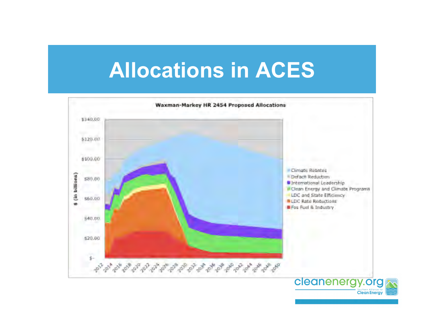#### **Allocations in ACES**

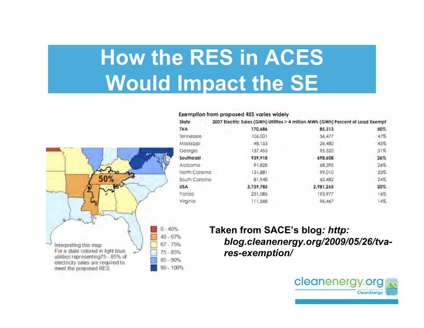## **How the RES in ACES Would Impact the SE**

#### **Exemption from proposed RES varies widely**

| State          | 2007 Electric Sales (GWh) Utilities > 4 million MWh (GWh) Percent of Load Exempt |           |     |
|----------------|----------------------------------------------------------------------------------|-----------|-----|
| <b>TVA</b>     | 170,686                                                                          | 85,313    | 50% |
| Tennessee      | 106,001                                                                          | 56.477    | 47% |
| Mississippi    | 48.153                                                                           | 26,480    | 45% |
| Georgia        | 137.453                                                                          | 95.320    | 31% |
| Southeast      | 939,918                                                                          | 698,608   | 26% |
| Alabama        | 91.828                                                                           | 68.395    | 26% |
| North Carolina | 131,881                                                                          | 99.010    | 25% |
| South Carolina | 81.948                                                                           | 62.482    | 24% |
| <b>USA</b>     | 3,739,785                                                                        | 2,981,265 | 20% |
| Florida        | 231.085                                                                          | 193.977   | 16% |
| Virginia       | 111.568                                                                          | 96.467    | 14% |



#### **Taken from SACE's blog***: http: blog.cleanenergy.org/2009/05/26/tvares-exemption/*

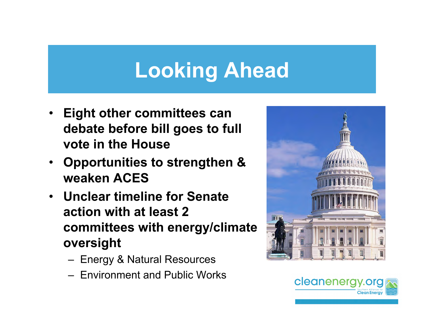## **Looking Ahead**

- **Eight other committees can debate before bill goes to full vote in the House**
- **Opportunities to strengthen & weaken ACES**
- **Unclear timeline for Senate action with at least 2 committees with energy/climate oversight** 
	- Energy & Natural Resources
	- Environment and Public Works